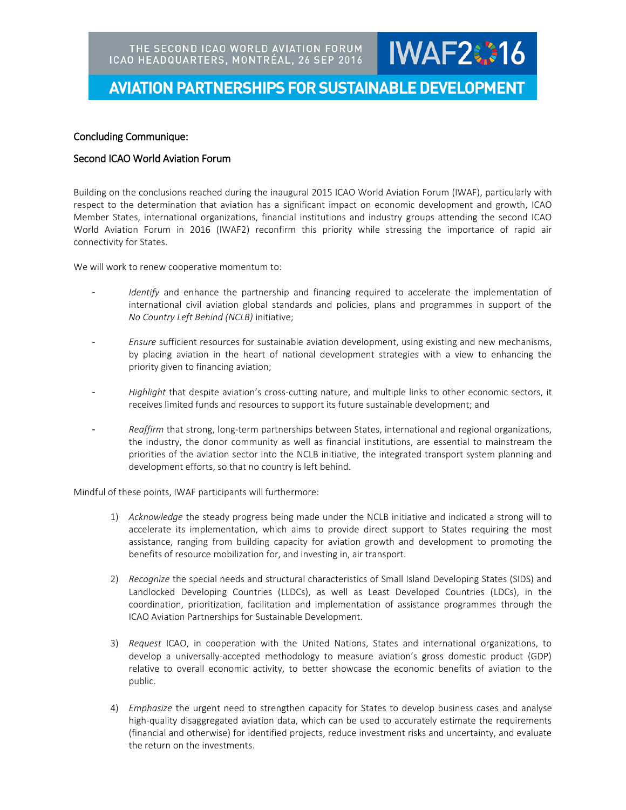## **AVIATION PARTNERSHIPS FOR SUSTAINABLE DEVELOPMENT**

**IWAF2#16** 

#### Concluding Communique:

#### Second ICAO World Aviation Forum

Building on the conclusions reached during the inaugural 2015 ICAO World Aviation Forum (IWAF), particularly with respect to the determination that aviation has a significant impact on economic development and growth, ICAO Member States, international organizations, financial institutions and industry groups attending the second ICAO World Aviation Forum in 2016 (IWAF2) reconfirm this priority while stressing the importance of rapid air connectivity for States.

We will work to renew cooperative momentum to:

- *Identify* and enhance the partnership and financing required to accelerate the implementation of international civil aviation global standards and policies, plans and programmes in support of the *No Country Left Behind (NCLB)* initiative;
- *Ensure* sufficient resources for sustainable aviation development, using existing and new mechanisms, by placing aviation in the heart of national development strategies with a view to enhancing the priority given to financing aviation;
- *Highlight* that despite aviation's cross-cutting nature, and multiple links to other economic sectors, it receives limited funds and resources to support its future sustainable development; and
- *Reaffirm* that strong, long-term partnerships between States, international and regional organizations, the industry, the donor community as well as financial institutions, are essential to mainstream the priorities of the aviation sector into the NCLB initiative, the integrated transport system planning and development efforts, so that no country is left behind.

Mindful of these points, IWAF participants will furthermore:

- 1) *Acknowledge* the steady progress being made under the NCLB initiative and indicated a strong will to accelerate its implementation, which aims to provide direct support to States requiring the most assistance, ranging from building capacity for aviation growth and development to promoting the benefits of resource mobilization for, and investing in, air transport.
- 2) *Recognize* the special needs and structural characteristics of Small Island Developing States (SIDS) and Landlocked Developing Countries (LLDCs), as well as Least Developed Countries (LDCs), in the coordination, prioritization, facilitation and implementation of assistance programmes through the ICAO Aviation Partnerships for Sustainable Development.
- 3) *Request* ICAO, in cooperation with the United Nations, States and international organizations, to develop a universally-accepted methodology to measure aviation's gross domestic product (GDP) relative to overall economic activity, to better showcase the economic benefits of aviation to the public.
- 4) *Emphasize* the urgent need to strengthen capacity for States to develop business cases and analyse high-quality disaggregated aviation data, which can be used to accurately estimate the requirements (financial and otherwise) for identified projects, reduce investment risks and uncertainty, and evaluate the return on the investments.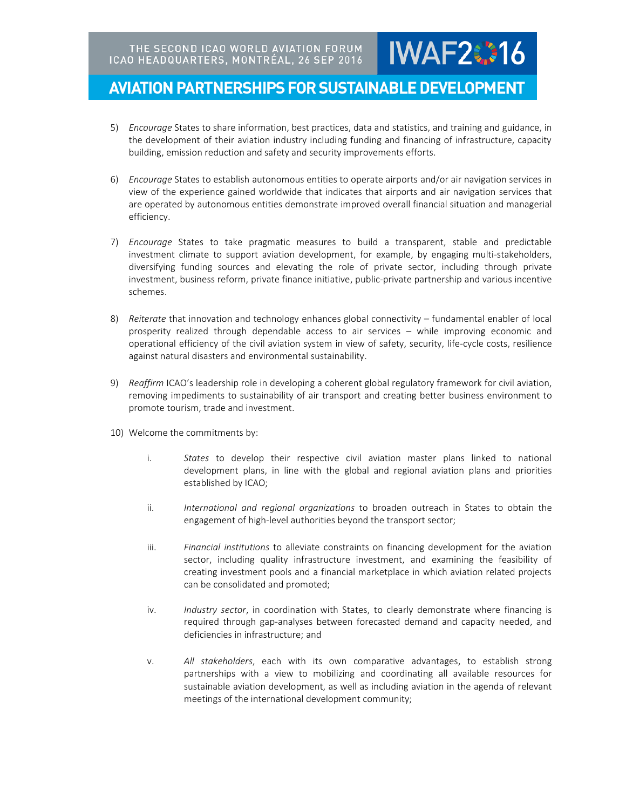### **AVIATION PARTNERSHIPS FOR SUSTAINABLE DEVELOPMENT**

5) *Encourage* States to share information, best practices, data and statistics, and training and guidance, in the development of their aviation industry including funding and financing of infrastructure, capacity building, emission reduction and safety and security improvements efforts.

**IWAF2#16** 

- 6) *Encourage* States to establish autonomous entities to operate airports and/or air navigation services in view of the experience gained worldwide that indicates that airports and air navigation services that are operated by autonomous entities demonstrate improved overall financial situation and managerial efficiency.
- 7) *Encourage* States to take pragmatic measures to build a transparent, stable and predictable investment climate to support aviation development, for example, by engaging multi-stakeholders, diversifying funding sources and elevating the role of private sector, including through private investment, business reform, private finance initiative, public-private partnership and various incentive schemes.
- 8) *Reiterate* that innovation and technology enhances global connectivity fundamental enabler of local prosperity realized through dependable access to air services – while improving economic and operational efficiency of the civil aviation system in view of safety, security, life-cycle costs, resilience against natural disasters and environmental sustainability.
- 9) *Reaffirm* ICAO's leadership role in developing a coherent global regulatory framework for civil aviation, removing impediments to sustainability of air transport and creating better business environment to promote tourism, trade and investment.
- 10) Welcome the commitments by:
	- i. *States* to develop their respective civil aviation master plans linked to national development plans, in line with the global and regional aviation plans and priorities established by ICAO;
	- ii. *International and regional organizations* to broaden outreach in States to obtain the engagement of high-level authorities beyond the transport sector;
	- iii. *Financial institutions* to alleviate constraints on financing development for the aviation sector, including quality infrastructure investment, and examining the feasibility of creating investment pools and a financial marketplace in which aviation related projects can be consolidated and promoted;
	- iv. *Industry sector*, in coordination with States, to clearly demonstrate where financing is required through gap-analyses between forecasted demand and capacity needed, and deficiencies in infrastructure; and
	- v. *All stakeholders*, each with its own comparative advantages, to establish strong partnerships with a view to mobilizing and coordinating all available resources for sustainable aviation development, as well as including aviation in the agenda of relevant meetings of the international development community;